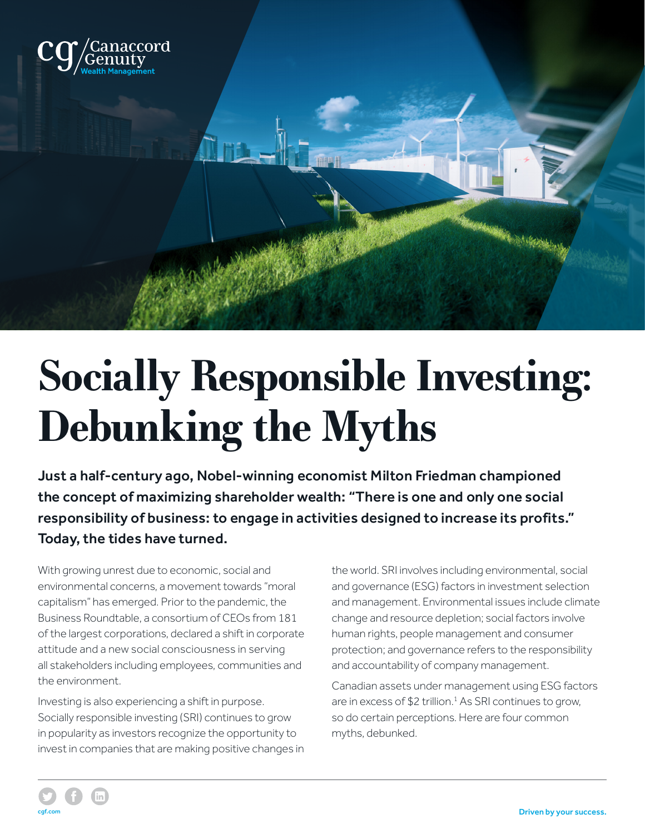

## **Socially Responsible Investing: Debunking the Myths**

Just a half-century ago, Nobel-winning economist Milton Friedman championed the concept of maximizing shareholder wealth: "There is one and only one social responsibility of business: to engage in activities designed to increase its profits." Today, the tides have turned.

With growing unrest due to economic, social and environmental concerns, a movement towards "moral capitalism" has emerged. Prior to the pandemic, the Business Roundtable, a consortium of CEOs from 181 of the largest corporations, declared a shift in corporate attitude and a new social consciousness in serving all stakeholders including employees, communities and the environment.

Investing is also experiencing a shift in purpose. Socially responsible investing (SRI) continues to grow in popularity as investors recognize the opportunity to invest in companies that are making positive changes in the world. SRI involves including environmental, social and governance (ESG) factors in investment selection and management. Environmental issues include climate change and resource depletion; social factors involve human rights, people management and consumer protection; and governance refers to the responsibility and accountability of company management.

Canadian assets under management using ESG factors are in excess of \$2 trillion.<sup>1</sup> As SRI continues to grow, so do certain perceptions. Here are four common myths, debunked.